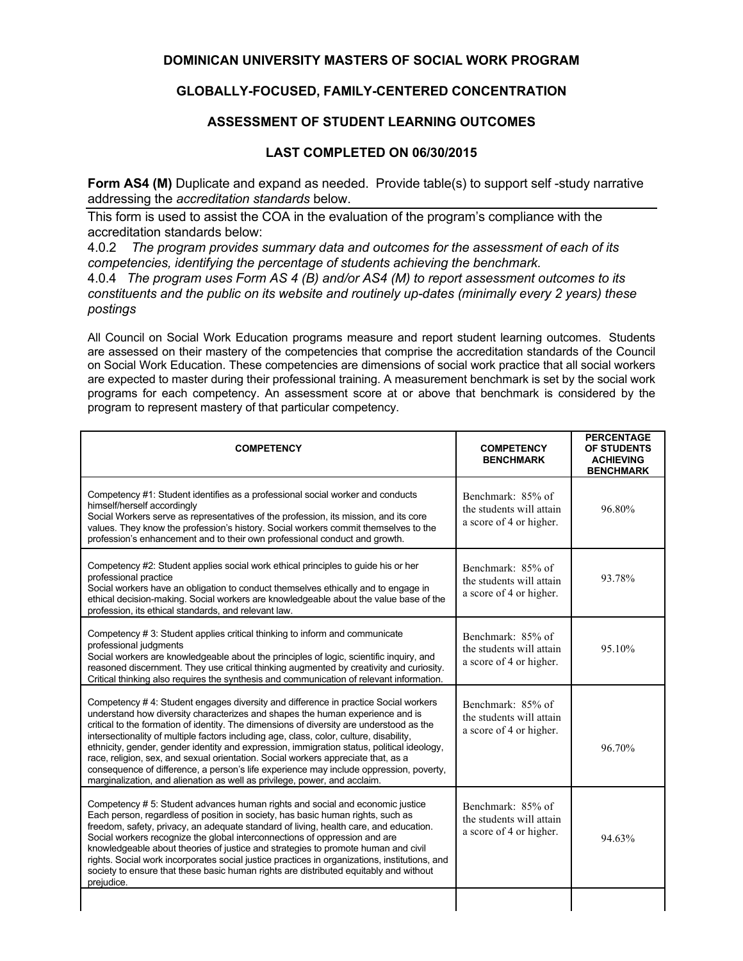## **DOMINICAN UNIVERSITY MASTERS OF SOCIAL WORK PROGRAM**

## **GLOBALLY-FOCUSED, FAMILY-CENTERED CONCENTRATION**

## **ASSESSMENT OF STUDENT LEARNING OUTCOMES**

## **LAST COMPLETED ON 06/30/2015**

**Form AS4 (M)** Duplicate and expand as needed. Provide table(s) to support self-study narrative addressing the *accreditation standards* below.

This form is used to assist the COA in the evaluation of the program's compliance with the accreditation standards below:

4.0.2 *The program provides summary data and outcomes for the assessment of each of its competencies, identifying the percentage of students achieving the benchmark.*

4.0.4 *The program uses Form AS 4 (B) and/or AS4 (M) to report assessment outcomes to its constituents and the public on its website and routinely up-dates (minimally every 2 years) these postings*

All Council on Social Work Education programs measure and report student learning outcomes. Students are assessed on their mastery of the competencies that comprise the accreditation standards of the Council on Social Work Education. These competencies are dimensions of social work practice that all social workers are expected to master during their professional training. A measurement benchmark is set by the social work programs for each competency. An assessment score at or above that benchmark is considered by the program to represent mastery of that particular competency.

| <b>COMPETENCY</b>                                                                                                                                                                                                                                                                                                                                                                                                                                                                                                                                                                                                                                                                                                    | <b>COMPETENCY</b><br><b>BENCHMARK</b>                                    | <b>PERCENTAGE</b><br><b>OF STUDENTS</b><br><b>ACHIEVING</b><br><b>BENCHMARK</b> |
|----------------------------------------------------------------------------------------------------------------------------------------------------------------------------------------------------------------------------------------------------------------------------------------------------------------------------------------------------------------------------------------------------------------------------------------------------------------------------------------------------------------------------------------------------------------------------------------------------------------------------------------------------------------------------------------------------------------------|--------------------------------------------------------------------------|---------------------------------------------------------------------------------|
| Competency #1: Student identifies as a professional social worker and conducts<br>himself/herself accordingly<br>Social Workers serve as representatives of the profession, its mission, and its core<br>values. They know the profession's history. Social workers commit themselves to the<br>profession's enhancement and to their own professional conduct and growth.                                                                                                                                                                                                                                                                                                                                           | Benchmark: 85% of<br>the students will attain<br>a score of 4 or higher. | 96.80%                                                                          |
| Competency #2: Student applies social work ethical principles to guide his or her<br>professional practice<br>Social workers have an obligation to conduct themselves ethically and to engage in<br>ethical decision-making. Social workers are knowledgeable about the value base of the<br>profession, its ethical standards, and relevant law.                                                                                                                                                                                                                                                                                                                                                                    | Benchmark: 85% of<br>the students will attain<br>a score of 4 or higher. | 93.78%                                                                          |
| Competency # 3: Student applies critical thinking to inform and communicate<br>professional judgments<br>Social workers are knowledgeable about the principles of logic, scientific inquiry, and<br>reasoned discernment. They use critical thinking augmented by creativity and curiosity.<br>Critical thinking also requires the synthesis and communication of relevant information.                                                                                                                                                                                                                                                                                                                              | Benchmark: 85% of<br>the students will attain<br>a score of 4 or higher. | 95.10%                                                                          |
| Competency #4: Student engages diversity and difference in practice Social workers<br>understand how diversity characterizes and shapes the human experience and is<br>critical to the formation of identity. The dimensions of diversity are understood as the<br>intersectionality of multiple factors including age, class, color, culture, disability,<br>ethnicity, gender, gender identity and expression, immigration status, political ideology,<br>race, religion, sex, and sexual orientation. Social workers appreciate that, as a<br>consequence of difference, a person's life experience may include oppression, poverty,<br>marginalization, and alienation as well as privilege, power, and acclaim. | Benchmark: 85% of<br>the students will attain<br>a score of 4 or higher. | 96.70%                                                                          |
| Competency # 5: Student advances human rights and social and economic justice<br>Each person, regardless of position in society, has basic human rights, such as<br>freedom, safety, privacy, an adequate standard of living, health care, and education.<br>Social workers recognize the global interconnections of oppression and are<br>knowledgeable about theories of justice and strategies to promote human and civil<br>rights. Social work incorporates social justice practices in organizations, institutions, and<br>society to ensure that these basic human rights are distributed equitably and without<br>prejudice.                                                                                 | Benchmark: 85% of<br>the students will attain<br>a score of 4 or higher. | 94.63%                                                                          |
|                                                                                                                                                                                                                                                                                                                                                                                                                                                                                                                                                                                                                                                                                                                      |                                                                          |                                                                                 |